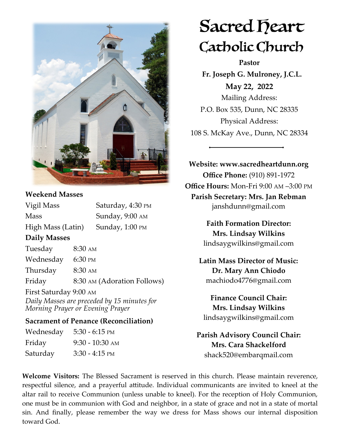

# **Weekend Masses**

| Vigil Mass             |                   | Saturday, 4:30 PM           |
|------------------------|-------------------|-----------------------------|
| <b>Mass</b>            |                   | Sunday, 9:00 AM             |
| High Mass (Latin)      |                   | Sunday, 1:00 PM             |
| <b>Daily Masses</b>    |                   |                             |
| Tuesday                | $8:30 \text{ AM}$ |                             |
| Wednesday 6:30 PM      |                   |                             |
| Thursday               | $8:30 \text{ AM}$ |                             |
| Friday                 |                   | 8:30 AM (Adoration Follows) |
| First Saturday 9:00 AM |                   |                             |
|                        |                   |                             |

*Daily Masses are preceded by 15 minutes for Morning Prayer or Evening Prayer*

### **Sacrament of Penance (Reconciliation)**

| Wednesday | $5:30 - 6:15$ PM  |
|-----------|-------------------|
| Friday    | $9:30 - 10:30$ AM |
| Saturday  | $3:30 - 4:15$ PM  |

# Sacred Deart Catholic Church

**Pastor**

 **Fr. Joseph G. Mulroney, J.C.L. May 22, 2022** Mailing Address: P.O. Box 535, Dunn, NC 28335 Physical Address: 108 S. McKay Ave., Dunn, NC 28334

**Website: www.sacredheartdunn.org Office Phone:** (910) 891-1972 **Office Hours:** Mon-Fri 9:00 AM –3:00 PM **Parish Secretary: Mrs. Jan Rebman**  janshdunn@gmail.com

> **Faith Formation Director: Mrs. Lindsay Wilkins** lindsaygwilkins@gmail.com

 **Latin Mass Director of Music: Dr. Mary Ann Chiodo** machiodo4776@gmail.com

**Finance Council Chair: Mrs. Lindsay Wilkins** lindsaygwilkins@gmail.com

**Parish Advisory Council Chair: Mrs. Cara Shackelford** shack520@embarqmail.com

**Welcome Visitors:** The Blessed Sacrament is reserved in this church. Please maintain reverence, respectful silence, and a prayerful attitude. Individual communicants are invited to kneel at the altar rail to receive Communion (unless unable to kneel). For the reception of Holy Communion, one must be in communion with God and neighbor, in a state of grace and not in a state of mortal sin. And finally, please remember the way we dress for Mass shows our internal disposition toward God.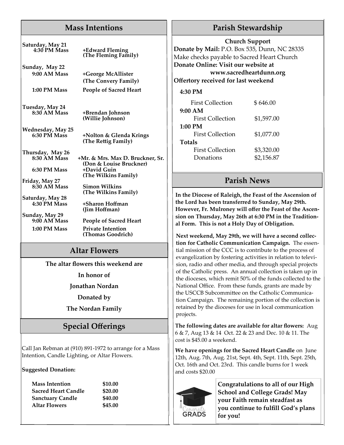# **Mass Intentions**

| Saturday, May 21<br><b>4:30 PM Mass</b>  | +Edward Fleming<br>(The Fleming Family)                     |  |  |
|------------------------------------------|-------------------------------------------------------------|--|--|
| Sunday, May 22<br>9:00 AM Mass           | +George McAllister<br>(The Convery Family)                  |  |  |
| 1:00 PM Mass                             | <b>People of Sacred Heart</b>                               |  |  |
| Tuesday, May 24<br>8:30 AM Mass          | +Brendan Johnson<br>(Willie Johnson)                        |  |  |
| <b>Wednesday, May 25</b><br>6:30 PM Mass | +Nolton & Glenda Krings<br>(The Rettig Family)              |  |  |
| Thursday, May 26                         |                                                             |  |  |
| 8:30 AM Mass                             | +Mr. & Mrs. Max D. Bruckner, Sr.<br>(Don & Louise Bruckner) |  |  |
| 6:30 PM Mass                             | +David Guin<br>(The Wilkins Family)                         |  |  |
| Friday, May 27<br>8:30 AM Mass           | <b>Simon Wilkins</b><br>(The Wilkins Family)                |  |  |
| Saturday, May 28<br>4:30 PM Mass         | +Sharon Hoffman<br>(Jim Hoffman)                            |  |  |
| Sunday, May 29<br>$9:00$ AM Mass         | <b>People of Sacred Heart</b>                               |  |  |
| 1:00 PM Mass                             | <b>Private Intention</b><br>(Thomas Goodrich)               |  |  |
| <b>Altar Flowers</b>                     |                                                             |  |  |
|                                          | The altar flowers this weekend are                          |  |  |
|                                          | In honor of                                                 |  |  |
|                                          | Jonathan Nordan                                             |  |  |
| Donated by                               |                                                             |  |  |
| <b>The Nordan Family</b>                 |                                                             |  |  |

# **Special Offerings**

Call Jan Rebman at (910) 891-1972 to arrange for a Mass Intention, Candle Lighting, or Altar Flowers.

#### **Suggested Donation:**

| <b>Mass Intention</b> |  |  |
|-----------------------|--|--|
| Sacred Heart Candle   |  |  |
| Sanctuary Candle      |  |  |
| Altar Flowers         |  |  |
|                       |  |  |

**Mass Intention \$10.00 Sacred Heart Candle \$20.00 Sanctuary Candle \$40.00 Altar Flowers \$45.00**

# **Parish Stewardship**

#### **Church Support**

**Donate by Mail:** P.O. Box 535, Dunn, NC 28335 Make checks payable to Sacred Heart Church **Donate Online: Visit our website at www.sacredheartdunn.org**

#### **Offertory received for last weekend**

#### **4:30 PM**

| <b>First Collection</b> | \$646.00   |  |
|-------------------------|------------|--|
| 9:00 AM                 |            |  |
| First Collection        | \$1,597.00 |  |
| $1:00$ PM               |            |  |
| First Collection        | \$1,077.00 |  |
| <b>Totals</b>           |            |  |
| First Collection        | \$3,320.00 |  |
| Donations               | \$2,156.87 |  |

# **Parish News**

**In the Diocese of Raleigh, the Feast of the Ascension of the Lord has been transferred to Sunday, May 29th. However, Fr. Mulroney will offer the Feast of the Ascension on Thursday, May 26th at 6:30 PM in the Traditional Form. This is not a Holy Day of Obligation.**

**Next weekend, May 29th, we will have a second collection for Catholic Communication Campaign.** The essential mission of the CCC is to contribute to the process of evangelization by fostering activities in relation to television, radio and other media, and through special projects of the Catholic press. An annual collection is taken up in the dioceses, which remit 50% of the funds collected to the National Office. From these funds, grants are made by the USCCB Subcommittee on the Catholic Communication Campaign. The remaining portion of the collection is retained by the dioceses for use in local communication projects.

**The following dates are available for altar flowers:** Aug 6 & 7, Aug 13 & 14 Oct. 22 & 23 and Dec. 10 & 11. The cost is \$45.00 a weekend.

**We have openings for the Sacred Heart Candle** on June 12th, Aug. 7th, Aug. 21st, Sept. 4th, Sept. 11th, Sept. 25th, Oct. 16th and Oct. 23rd. This candle burns for 1 week and costs \$20.00



**Congratulations to all of our High School and College Grads! May your Faith remain steadfast as you continue to fulfill God's plans for you!**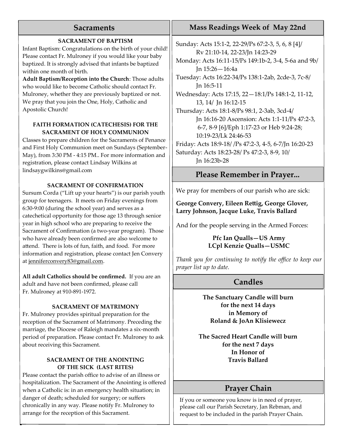# **Sacraments**

#### **SACRAMENT OF BAPTISM**

Infant Baptism: Congratulations on the birth of your child! Please contact Fr. Mulroney if you would like your baby baptized. It is strongly advised that infants be baptized within one month of birth.

**Adult Baptism/Reception into the Church**: Those adults who would like to become Catholic should contact Fr. Mulroney, whether they are previously baptized or not. We pray that you join the One, Holy, Catholic and Apostolic Church!

#### **FAITH FORMATION (CATECHESIS) FOR THE SACRAMENT OF HOLY COMMUNION**

Classes to prepare children for the Sacraments of Penance and First Holy Communion meet on Sundays (September-May), from 3:30 PM - 4:15 PM.. For more information and registration, please contact Lindsay Wilkins at lindsaygwilkins@gmail.com

#### **SACRAMENT OF CONFIRMATION**

Sursum Corda ("Lift up your hearts") is our parish youth group for teenagers. It meets on Friday evenings from 6:30-9:00 (during the school year) and serves as a catechetical opportunity for those age 13 through senior year in high school who are preparing to receive the Sacrament of Confirmation (a two-year program). Those who have already been confirmed are also welcome to attend. There is lots of fun, faith, and food. For more information and registration, please contact Jen Convery at [jenniferconvery83@gmail.com.](mailto:jenniferconvery83@gmail.com)

**All adult Catholics should be confirmed.** If you are an adult and have not been confirmed, please call Fr. Mulroney at 910-891-1972.

#### **SACRAMENT OF MATRIMONY**

Fr. Mulroney provides spiritual preparation for the reception of the Sacrament of Matrimony. Preceding the marriage, the Diocese of Raleigh mandates a six-month period of preparation. Please contact Fr. Mulroney to ask about receiving this Sacrament.

#### **SACRAMENT OF THE ANOINTING OF THE SICK (LAST RITES)**

Please contact the parish office to advise of an illness or hospitalization. The Sacrament of the Anointing is offered when a Catholic is: in an emergency health situation; in danger of death; scheduled for surgery; or suffers chronically in any way. Please notify Fr. Mulroney to arrange for the reception of this Sacrament.

# **Mass Readings Week of May 22nd**

Sunday: Acts 15:1-2, 22-29/Ps 67:2-3, 5, 6, 8 [4]/ Rv 21:10-14, 22-23/Jn 14:23-29 Monday: Acts 16:11-15/Ps 149:1b-2, 3-4, 5-6a and 9b/ Jn 15:26—16:4a Tuesday: Acts 16:22-34/Ps 138:1-2ab, 2cde-3, 7c-8/ Jn 16:5-11 Wednesday: Acts 17:15, 22—18:1/Ps 148:1-2, 11-12, 13, 14/ Jn 16:12-15 Thursday: Acts 18:1-8/Ps 98:1, 2-3ab, 3cd-4/ Jn 16:16-20 Ascension: Acts 1:1-11/Ps 47:2-3, 6-7, 8-9 [6]/Eph 1:17-23 or Heb 9:24-28; 10:19-23/Lk 24:46-53 Friday: Acts 18:9-18/ /Ps 47:2-3, 4-5, 6-7/Jn 16:20-23 Saturday: Acts 18:23-28/ Ps 47:2-3, 8-9, 10/ Jn 16:23b-28

# **Please Remember in Prayer...**

We pray for members of our parish who are sick:

#### **George Convery, Eileen Rettig, George Glover, Larry Johnson, Jacque Luke, Travis Ballard**

And for the people serving in the Armed Forces:

#### **Pfc Ian Qualls—US Army LCpl Kenzie Qualls—USMC**

*Thank you for continuing to notify the office to keep our prayer list up to date.*

# **Candles**

**The Sanctuary Candle will burn for the next 14 days in Memory of Roland & JoAn Klisiewecz**

**The Sacred Heart Candle will burn for the next 7 days In Honor of Travis Ballard**

# **Prayer Chain**

If you or someone you know is in need of prayer, please call our Parish Secretary, Jan Rebman, and request to be included in the parish Prayer Chain.